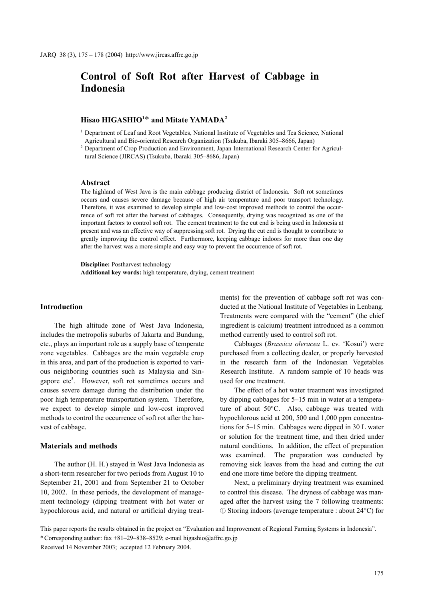# **Control of Soft Rot after Harvest of Cabbage in Indonesia**

# **Hisao HIGASHIO1** \* **and Mitate YAMADA2**

<sup>1</sup> Department of Leaf and Root Vegetables, National Institute of Vegetables and Tea Science, National Agricultural and Bio-oriented Research Organization (Tsukuba, Ibaraki 305–8666, Japan)

<sup>2</sup> Department of Crop Production and Environment, Japan International Research Center for Agricultural Science (JIRCAS) (Tsukuba, Ibaraki 305–8686, Japan)

#### **Abstract**

The highland of West Java is the main cabbage producing district of Indonesia. Soft rot sometimes occurs and causes severe damage because of high air temperature and poor transport technology. Therefore, it was examined to develop simple and low-cost improved methods to control the occurrence of soft rot after the harvest of cabbages. Consequently, drying was recognized as one of the important factors to control soft rot. The cement treatment to the cut end is being used in Indonesia at present and was an effective way of suppressing soft rot. Drying the cut end is thought to contribute to greatly improving the control effect. Furthermore, keeping cabbage indoors for more than one day after the harvest was a more simple and easy way to prevent the occurrence of soft rot.

**Discipline:** Postharvest technology **Additional key words:** high temperature, drying, cement treatment

## **Introduction**

The high altitude zone of West Java Indonesia, includes the metropolis suburbs of Jakarta and Bundung, etc., plays an important role as a supply base of temperate zone vegetables. Cabbages are the main vegetable crop in this area, and part of the production is exported to various neighboring countries such as Malaysia and Singapore etc<sup>5</sup>. However, soft rot sometimes occurs and causes severe damage during the distribution under the poor high temperature transportation system. Therefore, we expect to develop simple and low-cost improved methods to control the occurrence of soft rot after the harvest of cabbage.

#### **Materials and methods**

The author (H. H.) stayed in West Java Indonesia as a short-term researcher for two periods from August 10 to September 21, 2001 and from September 21 to October 10, 2002. In these periods, the development of management technology (dipping treatment with hot water or hypochlorous acid, and natural or artificial drying treatments) for the prevention of cabbage soft rot was conducted at the National Institute of Vegetables in Lenbang. Treatments were compared with the "cement" (the chief ingredient is calcium) treatment introduced as a common method currently used to control soft rot.

Cabbages (*Brassica oleracea* L. cv. 'Kosui') were purchased from a collecting dealer, or properly harvested in the research farm of the Indonesian Vegetables Research Institute. A random sample of 10 heads was used for one treatment.

The effect of a hot water treatment was investigated by dipping cabbages for 5–15 min in water at a temperature of about 50°C. Also, cabbage was treated with hypochlorous acid at 200, 500 and 1,000 ppm concentrations for 5–15 min. Cabbages were dipped in 30 L water or solution for the treatment time, and then dried under natural conditions. In addition, the effect of preparation was examined. The preparation was conducted by removing sick leaves from the head and cutting the cut end one more time before the dipping treatment.

Next, a preliminary drying treatment was examined to control this disease. The dryness of cabbage was managed after the harvest using the 7 following treatments: ① Storing indoors (average temperature : about 24°C) for

This paper reports the results obtained in the project on "Evaluation and Improvement of Regional Farming Systems in Indonesia". \* Corresponding author: fax  $+81-29-838-8529$ ; e-mail higashio@affrc.go.jp

Received 14 November 2003; accepted 12 February 2004.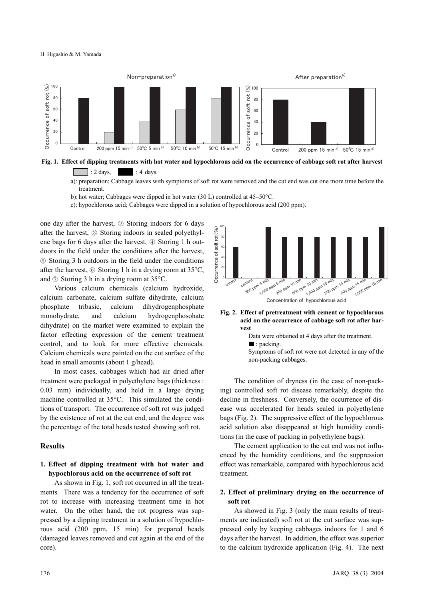



<sup>:</sup>  $2 \text{ days}$ , :  $4 \text{ days}$ .

a): preparation; Cabbage leaves with symptoms of soft rot were removed and the cut end was cut one more time before the treatment.

b): hot water; Cabbages were dipped in hot water (30 L) controlled at 45–50°C.

c): hypochlorous acid; Cabbages were dipped in a solution of hypochlorous acid (200 ppm).

one day after the harvest, ② Storing indoors for 6 days after the harvest, ③ Storing indoors in sealed polyethylene bags for 6 days after the harvest, ④ Storing 1 h outdoors in the field under the conditions after the harvest, ⑤ Storing 3 h outdoors in the field under the conditions after the harvest,  $\circledcirc$  Storing 1 h in a drying room at 35°C, and  $\circled{2}$  Storing 3 h in a drying room at 35°C.

Various calcium chemicals (calcium hydroxide, calcium carbonate, calcium sulfate dihydrate, calcium phosphate tribasic, calcium dihydrogenphosphate monohydrate, and calcium hydrogenphosohate dihydrate) on the market were examined to explain the factor effecting expression of the cement treatment control, and to look for more effective chemicals. Calcium chemicals were painted on the cut surface of the head in small amounts (about 1 g/head).

In most cases, cabbages which had air dried after treatment were packaged in polyethylene bags (thickness : 0.03 mm) individually, and held in a large drying machine controlled at 35°C. This simulated the conditions of transport. The occurrence of soft rot was judged by the existence of rot at the cut end, and the degree was the percentage of the total heads tested showing soft rot.

#### **Results**

#### **1. Effect of dipping treatment with hot water and hypochlorous acid on the occurrence of soft rot**

As shown in Fig. 1, soft rot occurred in all the treatments. There was a tendency for the occurrence of soft rot to increase with increasing treatment time in hot water. On the other hand, the rot progress was suppressed by a dipping treatment in a solution of hypochlorous acid (200 ppm, 15 min) for prepared heads (damaged leaves removed and cut again at the end of the core).



**Fig. 2. Effect of pretreatment with cement or hypochlorous acid on the occurrence of cabbage soft rot after harvest** 

Data were obtained at 4 days after the treatment. ■ : packing.



The condition of dryness (in the case of non-packing) controlled soft rot disease remarkably, despite the decline in freshness. Conversely, the occurrence of disease was accelerated for heads sealed in polyethylene bags (Fig. 2). The suppressive effect of the hypochlorous acid solution also disappeared at high humidity conditions (in the case of packing in polyethylene bags).

The cement application to the cut end was not influenced by the humidity conditions, and the suppression effect was remarkable, compared with hypochlorous acid treatment.

## **2. Effect of preliminary drying on the occurrence of soft rot**

As showed in Fig. 3 (only the main results of treatments are indicated) soft rot at the cut surface was suppressed only by keeping cabbages indoors for 1 and 6 days after the harvest. In addition, the effect was superior to the calcium hydroxide application (Fig. 4). The next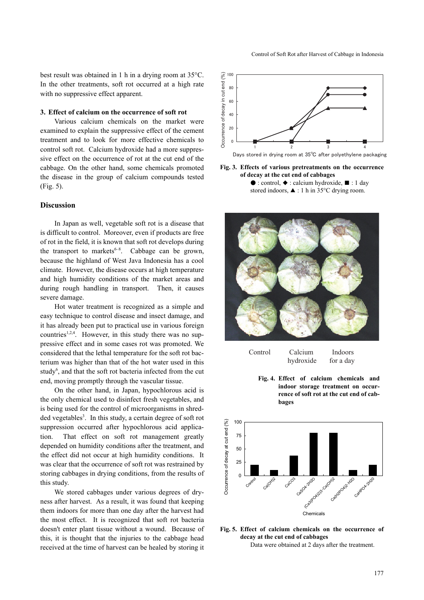best result was obtained in 1 h in a drying room at 35°C. In the other treatments, soft rot occurred at a high rate with no suppressive effect apparent.

#### **3. Effect of calcium on the occurrence of soft rot**

Various calcium chemicals on the market were examined to explain the suppressive effect of the cement treatment and to look for more effective chemicals to control soft rot. Calcium hydroxide had a more suppressive effect on the occurrence of rot at the cut end of the cabbage. On the other hand, some chemicals promoted the disease in the group of calcium compounds tested (Fig. 5).

## **Discussion**

In Japan as well, vegetable soft rot is a disease that is difficult to control. Moreover, even if products are free of rot in the field, it is known that soft rot develops during the transport to markets<sup> $6-8$ </sup>. Cabbage can be grown, because the highland of West Java Indonesia has a cool climate. However, the disease occurs at high temperature and high humidity conditions of the market areas and during rough handling in transport. Then, it causes severe damage.

Hot water treatment is recognized as a simple and easy technique to control disease and insect damage, and it has already been put to practical use in various foreign countries<sup>1,2,4</sup>. However, in this study there was no suppressive effect and in some cases rot was promoted. We considered that the lethal temperature for the soft rot bacterium was higher than that of the hot water used in this study<sup>6</sup>, and that the soft rot bacteria infected from the cut end, moving promptly through the vascular tissue.

On the other hand, in Japan, hypochlorous acid is the only chemical used to disinfect fresh vegetables, and is being used for the control of microorganisms in shredded vegetables<sup>3</sup>. In this study, a certain degree of soft rot suppression occurred after hypochlorous acid application. That effect on soft rot management greatly depended on humidity conditions after the treatment, and the effect did not occur at high humidity conditions. It was clear that the occurrence of soft rot was restrained by storing cabbages in drying conditions, from the results of this study.

We stored cabbages under various degrees of dryness after harvest. As a result, it was found that keeping them indoors for more than one day after the harvest had the most effect. It is recognized that soft rot bacteria doesn't enter plant tissue without a wound. Because of this, it is thought that the injuries to the cabbage head received at the time of harvest can be healed by storing it



Days stored in drying room at 35°C after polyethylene packaging

**Fig. 3. Effects of various pretreatments on the occurrence of decay at the cut end of cabbages**  ● : control, ◆ : calcium hydroxide, ■ : 1 day





Control Calcium hydroxide Indoors for a day







Data were obtained at 2 days after the treatment.